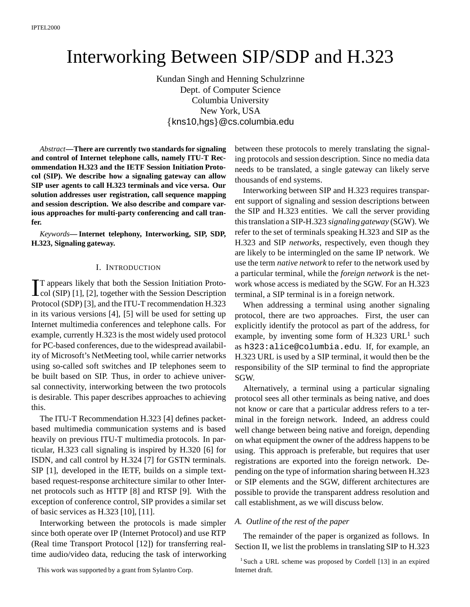# Interworking Between SIP/SDP and H.323

Kundan Singh and Henning Schulzrinne Dept. of Computer Science Columbia University New York, USA  $\{kns10,hgs\}$ @cs.columbia.edu

*Abstract***—There are currently two standards for signaling and control of Internet telephone calls, namely ITU-T Recommendation H.323 and the IETF Session Initiation Protocol (SIP). We describe how a signaling gateway can allow SIP user agents to call H.323 terminals and vice versa. Our solution addresses user registration, call sequence mapping and session description. We also describe and compare various approaches for multi-party conferencing and call tranfer.**

*Keywords***— Internet telephony, Interworking, SIP, SDP, H.323, Signaling gateway.**

## I. INTRODUCTION

L col (SIP) [1], [2], together with the Session Description T appears likely that both the Session Initiation Proto-Protocol (SDP) [3], and the ITU-T recommendation H.323 in its various versions [4], [5] will be used for setting up Internet multimedia conferences and telephone calls. For example, currently H.323 is the most widely used protocol for PC-based conferences, due to the widespread availability of Microsoft's NetMeeting tool, while carrier networks using so-called soft switches and IP telephones seem to be built based on SIP. Thus, in order to achieve universal connectivity, interworking between the two protocols is desirable. This paper describes approaches to achieving this.

The ITU-T Recommendation H.323 [4] defines packetbased multimedia communication systems and is based heavily on previous ITU-T multimedia protocols. In particular, H.323 call signaling is inspired by H.320 [6] for ISDN, and call control by H.324 [7] for GSTN terminals. SIP [1], developed in the IETF, builds on a simple textbased request-response architecture similar to other Internet protocols such as HTTP [8] and RTSP [9]. With the exception of conference control, SIP provides a similar set of basic services as H.323 [10], [11].

Interworking between the protocols is made simpler since both operate over IP (Internet Protocol) and use RTP (Real time Transport Protocol [12]) for transferring realtime audio/video data, reducing the task of interworking

This work was supported by a grant from Sylantro Corp.

between these protocols to merely translating the signaling protocols and session description. Since no media data needs to be translated, a single gateway can likely serve thousands of end systems.

Interworking between SIP and H.323 requires transparent support of signaling and session descriptions between the SIP and H.323 entities. We call the server providing this translation a SIP-H.323 *signaling gateway* (SGW). We refer to the set of terminals speaking H.323 and SIP as the H.323 and SIP *networks*, respectively, even though they are likely to be intermingled on the same IP network. We use the term *native network* to refer to the network used by a particular terminal, while the *foreign network* is the network whose access is mediated by the SGW. For an H.323 terminal, a SIP terminal is in a foreign network.

When addressing a terminal using another signaling protocol, there are two approaches. First, the user can explicitly identify the protocol as part of the address, for example, by inventing some form of  $H.323 \text{ URL}^1$  such as h323:alice@columbia.edu. If, for example, an H.323 URL is used by a SIP terminal, it would then be the responsibility of the SIP terminal to find the appropriate SGW.

Alternatively, a terminal using a particular signaling protocol sees all other terminals as being native, and does not know or care that a particular address refers to a terminal in the foreign network. Indeed, an address could well change between being native and foreign, depending on what equipment the owner of the address happens to be using. This approach is preferable, but requires that user registrations are exported into the foreign network. Depending on the type of information sharing between H.323 or SIP elements and the SGW, different architectures are possible to provide the transparent address resolution and call establishment, as we will discuss below.

#### *A. Outline of the rest of the paper*

The remainder of the paper is organized as follows. In Section II, we list the problems in translating SIP to H.323

<sup>&</sup>lt;sup>1</sup> Such a URL scheme was proposed by Cordell [13] in an expired Internet draft.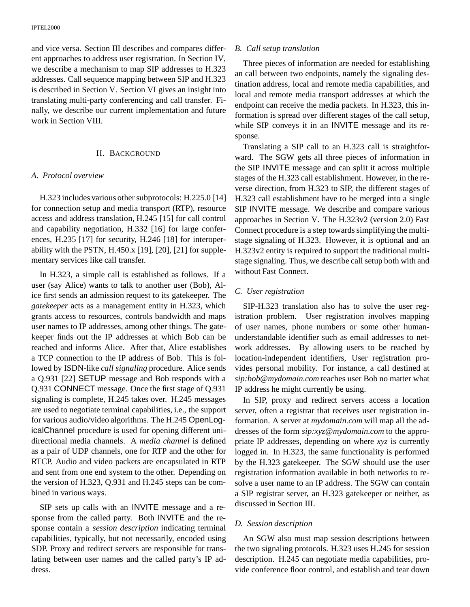and vice versa. Section III describes and compares different approaches to address user registration. In Section IV, we describe a mechanism to map SIP addresses to H.323 addresses. Call sequence mapping between SIP and H.323 is described in Section V. Section VI gives an insight into translating multi-party conferencing and call transfer. Finally, we describe our current implementation and future work in Section VIII.

## II. BACKGROUND

# *A. Protocol overview*

H.323 includes various other subprotocols: H.225.0 [14] for connection setup and media transport (RTP), resource access and address translation, H.245 [15] for call control and capability negotiation, H.332 [16] for large conferences, H.235 [17] for security, H.246 [18] for interoperability with the PSTN, H.450. $x$  [19], [20], [21] for supplementary services like call transfer.

In H.323, a simple call is established as follows. If a user (say Alice) wants to talk to another user (Bob), Alice first sends an admission request to its gatekeeper. The *gatekeeper* acts as a management entity in H.323, which grants access to resources, controls bandwidth and maps user names to IP addresses, among other things. The gatekeeper finds out the IP addresses at which Bob can be reached and informs Alice. After that, Alice establishes a TCP connection to the IP address of Bob. This is followed by ISDN-like *call signaling* procedure. Alice sends a Q.931 [22] SETUP message and Bob responds with a Q.931 CONNECT message. Once the first stage of Q.931 signaling is complete, H.245 takes over. H.245 messages are used to negotiate terminal capabilities, i.e., the support for various audio/video algorithms. The H.245 OpenLogicalChannel procedure is used for opening different unidirectional media channels. A *media channel* is defined as a pair of UDP channels, one for RTP and the other for RTCP. Audio and video packets are encapsulated in RTP and sent from one end system to the other. Depending on the version of H.323, Q.931 and H.245 steps can be combined in various ways.

SIP sets up calls with an INVITE message and a response from the called party. Both INVITE and the response contain a *session description* indicating terminal capabilities, typically, but not necessarily, encoded using SDP. Proxy and redirect servers are responsible for translating between user names and the called party's IP address.

# *B. Call setup translation*

Three pieces of information are needed for establishing an call between two endpoints, namely the signaling destination address, local and remote media capabilities, and local and remote media transport addresses at which the endpoint can receive the media packets. In H.323, this information is spread over different stages of the call setup, while SIP conveys it in an INVITE message and its response.

Translating a SIP call to an H.323 call is straightforward. The SGW gets all three pieces of information in the SIP INVITE message and can split it across multiple stages of the H.323 call establishment. However, in the reverse direction, from H.323 to SIP, the different stages of H.323 call establishment have to be merged into a single SIP INVITE message. We describe and compare various approaches in Section V. The H.323v2 (version 2.0) Fast Connect procedure is a step towards simplifying the multistage signaling of H.323. However, it is optional and an H.323v2 entity is required to support the traditional multistage signaling. Thus, we describe call setup both with and without Fast Connect.

# *C. User registration*

SIP-H.323 translation also has to solve the user registration problem. User registration involves mapping of user names, phone numbers or some other humanunderstandable identifier such as email addresses to network addresses. By allowing users to be reached by location-independent identifiers, User registration provides personal mobility. For instance, a call destined at *sip:bob@mydomain.com* reaches user Bob no matter what IP address he might currently be using.

In SIP, proxy and redirect servers access a location server, often a registrar that receives user registration information. A server at *mydomain.com* will map all the addresses of the form *sip:xyz@mydomain.com* to the appropriate IP addresses, depending on where *xyz* is currently logged in. In H.323, the same functionality is performed by the H.323 gatekeeper. The SGW should use the user registration information available in both networks to resolve a user name to an IP address. The SGW can contain a SIP registrar server, an H.323 gatekeeper or neither, as discussed in Section III.

# *D. Session description*

An SGW also must map session descriptions between the two signaling protocols. H.323 uses H.245 for session description. H.245 can negotiate media capabilities, provide conference floor control, and establish and tear down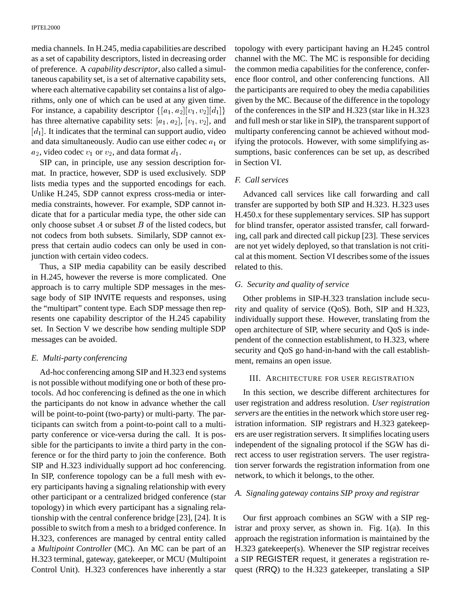media channels. In H.245, media capabilities are described as a set of capability descriptors, listed in decreasing order of preference. A *capability descriptor*, also called a simultaneous capability set, is a set of alternative capability sets, where each alternative capability set contains a list of algorithms, only one of which can be used at any given time. For instance, a capability descriptor  $\{[a_1, a_2][v_1, v_2][d_1]\}$ has three alternative capability sets:  $[a_1, a_2]$ ,  $[v_1, v_2]$ , and  $[d_1]$ . It indicates that the terminal can support audio, video and data simultaneously. Audio can use either codec  $a_1$  or  $a_2$ , video codec  $v_1$  or  $v_2$ , and data format  $d_1$ .

SIP can, in principle, use any session description format. In practice, however, SDP is used exclusively. SDP lists media types and the supported encodings for each. Unlike H.245, SDP cannot express cross-media or intermedia constraints, however. For example, SDP cannot indicate that for a particular media type, the other side can only choose subset  $A$  or subset  $B$  of the listed codecs, but not codecs from both subsets. Similarly, SDP cannot express that certain audio codecs can only be used in conjunction with certain video codecs.

Thus, a SIP media capability can be easily described in H.245, however the reverse is more complicated. One approach is to carry multiple SDP messages in the message body of SIP INVITE requests and responses, using the "multipart" content type. Each SDP message then represents one capability descriptor of the H.245 capability set. In Section V we describe how sending multiple SDP messages can be avoided.

## *E. Multi-party conferencing*

Ad-hoc conferencing among SIP and H.323 end systems is not possible without modifying one or both of these protocols. Ad hoc conferencing is defined as the one in which the participants do not know in advance whether the call will be point-to-point (two-party) or multi-party. The participants can switch from a point-to-point call to a multiparty conference or vice-versa during the call. It is possible for the participants to invite a third party in the conference or for the third party to join the conference. Both SIP and H.323 individually support ad hoc conferencing. In SIP, conference topology can be a full mesh with every participants having a signaling relationship with every other participant or a centralized bridged conference (star topology) in which every participant has a signaling relationship with the central conference bridge [23], [24]. It is possible to switch from a mesh to a bridged conference. In H.323, conferences are managed by central entity called a *Multipoint Controller* (MC). An MC can be part of an H.323 terminal, gateway, gatekeeper, or MCU (Multipoint Control Unit). H.323 conferences have inherently a star

topology with every participant having an H.245 control channel with the MC. The MC is responsible for deciding the common media capabilities for the conference, conference floor control, and other conferencing functions. All the participants are required to obey the media capabilities given by the MC. Because of the difference in the topology of the conferences in the SIP and H.323 (star like in H.323 and full mesh or star like in SIP), the transparent support of multiparty conferencing cannot be achieved without modifying the protocols. However, with some simplifying assumptions, basic conferences can be set up, as described in Section VI.

# *F. Call services*

Advanced call services like call forwarding and call transfer are supported by both SIP and H.323. H.323 uses H.450.x for these supplementary services. SIP has support for blind transfer, operator assisted transfer, call forwarding, call park and directed call pickup [23]. These services are not yet widely deployed, so that translation is not critical at this moment. Section VI describes some of the issues related to this.

# *G. Security and quality of service*

Other problems in SIP-H.323 translation include security and quality of service (QoS). Both, SIP and H.323, individually support these. However, translating from the open architecture of SIP, where security and QoS is independent of the connection establishment, to H.323, where security and QoS go hand-in-hand with the call establishment, remains an open issue.

## III. ARCHITECTURE FOR USER REGISTRATION

In this section, we describe different architectures for user registration and address resolution. *User registration servers* are the entities in the network which store user registration information. SIP registrars and H.323 gatekeepers are user registration servers. It simplifies locating users independent of the signaling protocol if the SGW has direct access to user registration servers. The user registration server forwards the registration information from one network, to which it belongs, to the other.

# *A. Signaling gateway contains SIP proxy and registrar*

Our first approach combines an SGW with a SIP registrar and proxy server, as shown in. Fig. 1(a). In this approach the registration information is maintained by the H.323 gatekeeper(s). Whenever the SIP registrar receives a SIP REGISTER request, it generates a registration request (RRQ) to the H.323 gatekeeper, translating a SIP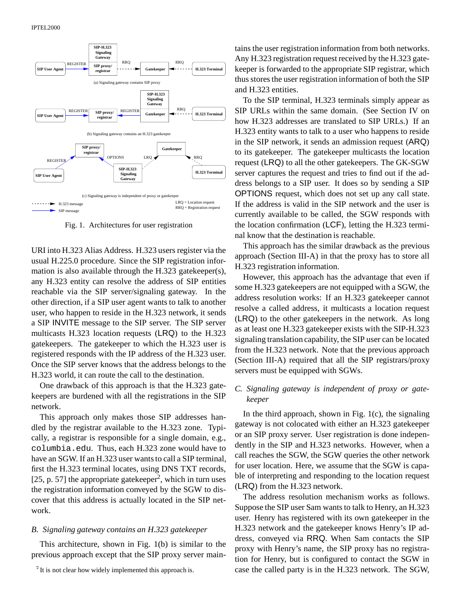

Fig. 1. Architectures for user registration

URI into H.323 Alias Address. H.323 users register via the usual H.225.0 procedure. Since the SIP registration information is also available through the H.323 gatekeeper(s), any H.323 entity can resolve the address of SIP entities reachable via the SIP server/signaling gateway. In the other direction, if a SIP user agent wants to talk to another user, who happen to reside in the H.323 network, it sends a SIP INVITE message to the SIP server. The SIP server multicasts H.323 location requests (LRQ) to the H.323 gatekeepers. The gatekeeper to which the H.323 user is registered responds with the IP address of the H.323 user. Once the SIP server knows that the address belongs to the H.323 world, it can route the call to the destination.

One drawback of this approach is that the H.323 gatekeepers are burdened with all the registrations in the SIP network.

This approach only makes those SIP addresses handled by the registrar available to the H.323 zone. Typically, a registrar is responsible for a single domain, e.g., columbia.edu. Thus, each H.323 zone would have to have an SGW. If an H.323 user wants to call a SIP terminal, first the H.323 terminal locates, using DNS TXT records,  $[25, p. 57]$  the appropriate gatekeeper<sup>2</sup>, which in turn uses the registration information conveyed by the SGW to discover that this address is actually located in the SIP network.

#### *B. Signaling gateway contains an H.323 gatekeeper*

This architecture, shown in Fig. 1(b) is similar to the previous approach except that the SIP proxy server maintains the user registration information from both networks. Any H.323 registration request received by the H.323 gatekeeper is forwarded to the appropriate SIP registrar, which thus stores the user registration information of both the SIP and H.323 entities.

To the SIP terminal, H.323 terminals simply appear as SIP URLs within the same domain. (See Section IV on how H.323 addresses are translated to SIP URLs.) If an H.323 entity wants to talk to a user who happens to reside in the SIP network, it sends an admission request (ARQ) to its gatekeeper. The gatekeeper multicasts the location request (LRQ) to all the other gatekeepers. The GK-SGW server captures the request and tries to find out if the address belongs to a SIP user. It does so by sending a SIP OPTIONS request, which does not set up any call state. If the address is valid in the SIP network and the user is currently available to be called, the SGW responds with the location confirmation (LCF), letting the H.323 terminal know that the destination is reachable.

This approach has the similar drawback as the previous approach (Section III-A) in that the proxy has to store all H.323 registration information.

However, this approach has the advantage that even if some H.323 gatekeepers are not equipped with a SGW, the address resolution works: If an H.323 gatekeeper cannot resolve a called address, it multicasts a location request (LRQ) to the other gatekeepers in the network. As long as at least one H.323 gatekeeper exists with the SIP-H.323 signaling translation capability, the SIP user can be located from the H.323 network. Note that the previous approach (Section III-A) required that all the SIP registrars/proxy servers must be equipped with SGWs.

# *C. Signaling gateway is independent of proxy or gatekeeper*

In the third approach, shown in Fig.  $1(c)$ , the signaling gateway is not colocated with either an H.323 gatekeeper or an SIP proxy server. User registration is done independently in the SIP and H.323 networks. However, when a call reaches the SGW, the SGW queries the other network for user location. Here, we assume that the SGW is capable of interpreting and responding to the location request (LRQ) from the H.323 network.

The address resolution mechanism works as follows. Suppose the SIP user Sam wants to talk to Henry, an H.323 user. Henry has registered with its own gatekeeper in the H.323 network and the gatekeeper knows Henry's IP address, conveyed via RRQ. When Sam contacts the SIP proxy with Henry's name, the SIP proxy has no registration for Henry, but is configured to contact the SGW in case the called party is in the H.323 network. The SGW,

<sup>&</sup>lt;sup>2</sup>It is not clear how widely implemented this approach is.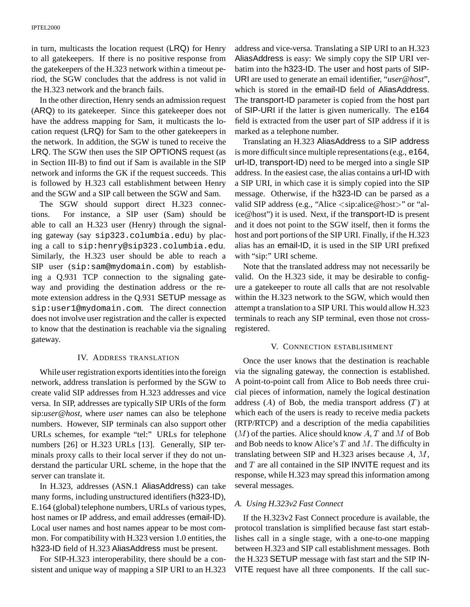in turn, multicasts the location request (LRQ) for Henry to all gatekeepers. If there is no positive response from the gatekeepers of the H.323 network within a timeout period, the SGW concludes that the address is not valid in the H.323 network and the branch fails.

In the other direction, Henry sends an admission request (ARQ) to its gatekeeper. Since this gatekeeper does not have the address mapping for Sam, it multicasts the location request (LRQ) for Sam to the other gatekeepers in the network. In addition, the SGW is tuned to receive the LRQ. The SGW then uses the SIP OPTIONS request (as in Section III-B) to find out if Sam is available in the SIP network and informs the GK if the request succeeds. This is followed by H.323 call establishment between Henry and the SGW and a SIP call between the SGW and Sam.

The SGW should support direct H.323 connections. For instance, a SIP user (Sam) should be able to call an H.323 user (Henry) through the signaling gateway (say sip323.columbia.edu) by placing a call to sip:henry@sip323.columbia.edu. Similarly, the H.323 user should be able to reach a SIP user (sip:sam@mydomain.com) by establishing a Q.931 TCP connection to the signaling gateway and providing the destination address or the remote extension address in the Q.931 SETUP message as sip:user1@mydomain.com. The direct connection does not involve user registration and the caller is expected to know that the destination is reachable via the signaling gateway.

#### IV. ADDRESS TRANSLATION

While user registration exports identities into the foreign network, address translation is performed by the SGW to create valid SIP addresses from H.323 addresses and vice versa. In SIP, addresses are typically SIP URIs of the form sip:*user@host*, where *user* names can also be telephone numbers. However, SIP terminals can also support other URLs schemes, for example "tel:" URLs for telephone numbers [26] or H.323 URLs [13]. Generally, SIP terminals proxy calls to their local server if they do not understand the particular URL scheme, in the hope that the server can translate it.

In H.323, addresses (ASN.1 AliasAddress) can take many forms, including unstructured identifiers (h323-ID), E.164 (global) telephone numbers, URLs of various types, host names or IP address, and email addresses (email-ID). Local user names and host names appear to be most common. For compatibility with H.323 version 1.0 entities, the h323-ID field of H.323 AliasAddress must be present.

For SIP-H.323 interoperability, there should be a consistent and unique way of mapping a SIP URI to an H.323 address and vice-versa. Translating a SIP URI to an H.323 AliasAddress is easy: We simply copy the SIP URI verbatim into the h323-ID. The user and host parts of SIP-URI are used to generate an email identifier, "*user*@*host*", which is stored in the email-ID field of AliasAddress. The transport-ID parameter is copied from the host part of SIP-URI if the latter is given numerically. The e164 field is extracted from the user part of SIP address if it is marked as a telephone number.

Translating an H.323 AliasAddress to a SIP address is more difficult since multiple representations (e.g., e164, url-ID, transport-ID) need to be merged into a single SIP address. In the easiest case, the alias contains a url-ID with a SIP URI, in which case it is simply copied into the SIP message. Otherwise, if the h323-ID can be parsed as a valid SIP address (e.g., "Alice <sip:alice@host>" or "alice@host") it is used. Next, if the transport-ID is present and it does not point to the SGW itself, then it forms the host and port portions of the SIP URI. Finally, if the H.323 alias has an email-ID, it is used in the SIP URI prefixed with "sip:" URI scheme.

Note that the translated address may not necessarily be valid. On the H.323 side, it may be desirable to configure a gatekeeper to route all calls that are not resolvable within the H.323 network to the SGW, which would then attempt a translation to a SIP URI. This would allow H.323 terminals to reach any SIP terminal, even those not crossregistered.

#### V. CONNECTION ESTABLISHMENT

Once the user knows that the destination is reachable via the signaling gateway, the connection is established. A point-to-point call from Alice to Bob needs three cruicial pieces of information, namely the logical destination address  $(A)$  of Bob, the media transport address  $(T)$  at which each of the users is ready to receive media packets (RTP/RTCP) and a description of the media capabilities  $(M)$  of the parties. Alice should know  $A, T$  and  $M$  of Bob and Bob needs to know Alice's  $T$  and  $M$ . The difficulty in translating between SIP and H.323 arises because  $A, M$ , and  $T$  are all contained in the SIP INVITE request and its response, while H.323 may spread this information among several messages.

#### *A. Using H.323v2 Fast Connect*

If the H.323v2 Fast Connect procedure is available, the protocol translation is simplified because fast start establishes call in a single stage, with a one-to-one mapping between H.323 and SIP call establishment messages. Both the H.323 SETUP message with fast start and the SIP IN-VITE request have all three components. If the call suc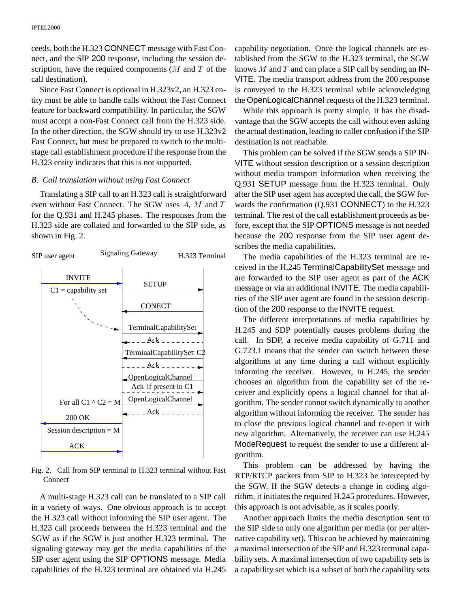ceeds, both the H.323 CONNECT message with Fast Connect, and the SIP 200 response, including the session description, have the required components  $(M \text{ and } T \text{ of the})$ call destination).

Since Fast Connect is optional in H.323v2, an H.323 entity must be able to handle calls without the Fast Connect feature for backward compatibility. In particular, the SGW must accept a non-Fast Connect call from the H.323 side. In the other direction, the SGW should try to use H.323v2 Fast Connect, but must be prepared to switch to the multistage call establishment procedure if the response from the H.323 entity indicates that this is not supported.

#### *B. Call translation without using Fast Connect*

Translating a SIP call to an H.323 call is straightforward even without Fast Connect. The SGW uses A, M and T for the Q.931 and H.245 phases. The responses from the H.323 side are collated and forwarded to the SIP side, as shown in Fig. 2.



Fig. 2. Call from SIP terminal to H.323 terminal without Fast Connect

A multi-stage H.323 call can be translated to a SIP call in a variety of ways. One obvious approach is to accept the H.323 call without informing the SIP user agent. The H.323 call proceeds between the H.323 terminal and the SGW as if the SGW is just another H.323 terminal. The signaling gateway may get the media capabilities of the SIP user agent using the SIP OPTIONS message. Media capabilities of the H.323 terminal are obtained via H.245

capability negotiation. Once the logical channels are established from the SGW to the H.323 terminal, the SGW knows  $M$  and  $T$  and can place a SIP call by sending an IN-VITE. The media transport address from the 200 response is conveyed to the H.323 terminal while acknowledging the OpenLogicalChannel requests of the H.323 terminal.

While this approach is pretty simple, it has the disadvantage that the SGW accepts the call without even asking the actual destination, leading to caller confusion if the SIP destination is not reachable.

This problem can be solved if the SGW sends a SIP IN-VITE without session description or a session description without media transport information when receiving the Q.931 SETUP message from the H.323 terminal. Only after the SIP user agent has accepted the call, the SGW forwards the confirmation (Q.931 CONNECT) to the H.323 terminal. The rest of the call establishment proceeds as before, except that the SIP OPTIONS message is not needed because the 200 response from the SIP user agent describes the media capabilities.

The media capabilities of the H.323 terminal are received in the H.245 TerminalCapabilitySet message and are forwarded to the SIP user agent as part of the ACK message or via an additional INVITE. The media capabilities of the SIP user agent are found in the session description of the 200 response to the INVITE request.

The different interpretations of media capabilities by H.245 and SDP potentially causes problems during the call. In SDP, a receive media capability of G.711 and G.723.1 means that the sender can switch between these algorithms at any time during a call without explicitly informing the receiver. However, in H.245, the sender chooses an algorithm from the capability set of the receiver and explicitly opens a logical channel for that algorithm. The sender cannot switch dynamically to another algorithm without informing the receiver. The sender has to close the previous logical channel and re-open it with new algorithm. Alternatively, the receiver can use H.245 ModeRequest to request the sender to use a different algorithm.

This problem can be addressed by having the RTP/RTCP packets from SIP to H.323 be intercepted by the SGW. If the SGW detects a change in coding algorithm, it initiates the required H.245 procedures. However, this approach is not advisable, as it scales poorly.

Another approach limits the media description sent to the SIP side to only one algorithm per media (or per alternative capability set). This can be achieved by maintaining a maximal intersection of the SIP and H.323 terminal capability sets. A maximal intersection of two capability sets is a capability set which is a subset of both the capability sets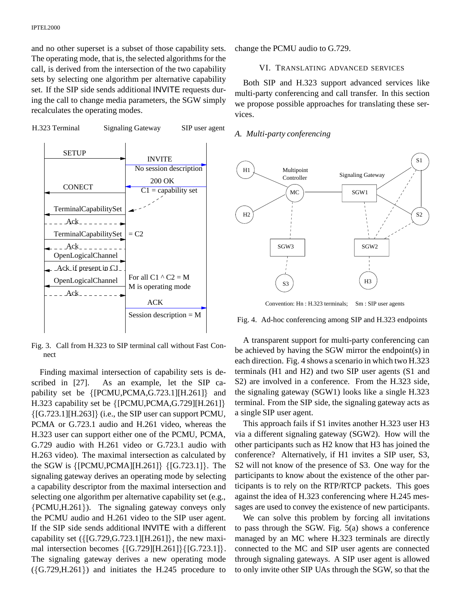and no other superset is a subset of those capability sets. The operating mode, that is, the selected algorithms for the call, is derived from the intersection of the two capability sets by selecting one algorithm per alternative capability set. If the SIP side sends additional INVITE requests during the call to change media parameters, the SGW simply recalculates the operating modes.

H.323 Terminal Signaling Gateway SIP user agent



Fig. 3. Call from H.323 to SIP terminal call without Fast Connect

Finding maximal intersection of capability sets is described in [27]. As an example, let the SIP capability set be  $\{[PCMU, PCMA, G.723.1][H.261]\}$  and H.323 capability set be  $\{[PCMU, PCMA, G.729][H.261]\}$  ${[G.723.1][H.263]}$  (i.e., the SIP user can support PCMU, PCMA or G.723.1 audio and H.261 video, whereas the H.323 user can support either one of the PCMU, PCMA, G.729 audio with H.261 video or G.723.1 audio with H.263 video). The maximal intersection as calculated by the SGW is  ${[PCMU, PCMA][H.261]} {[G.723.1]}$ . The signaling gateway derives an operating mode by selecting a capability descriptor from the maximal intersection and selecting one algorithm per alternative capability set (e.g.,  ${PCMU,H.261}$ . The signaling gateway conveys only the PCMU audio and H.261 video to the SIP user agent. If the SIP side sends additional INVITE with a different capability set  $({G.729, G.723.1][H.261}$ , the new maximal intersection becomes  $\{ [G.729][H.261]\} \{ [G.723.1]\}.$ The signaling gateway derives a new operating mode  $({G.729,H.261})$  and initiates the H.245 procedure to

change the PCMU audio to G.729.

## VI. TRANSLATING ADVANCED SERVICES

Both SIP and H.323 support advanced services like multi-party conferencing and call transfer. In this section we propose possible approaches for translating these services.

## *A. Multi-party conferencing*



Convention: Hn : H.323 terminals; Sm : SIP user agents

#### Fig. 4. Ad-hoc conferencing among SIP and H.323 endpoints

A transparent support for multi-party conferencing can be achieved by having the SGW mirror the endpoint(s) in each direction. Fig. 4 shows a scenario in which two H.323 terminals (H1 and H2) and two SIP user agents (S1 and S2) are involved in a conference. From the H.323 side, the signaling gateway (SGW1) looks like a single H.323 terminal. From the SIP side, the signaling gateway acts as a single SIP user agent.

This approach fails if S1 invites another H.323 user H3 via a different signaling gateway (SGW2). How will the other participants such as H2 know that H3 has joined the conference? Alternatively, if H1 invites a SIP user, S3, S2 will not know of the presence of S3. One way for the participants to know about the existence of the other participants is to rely on the RTP/RTCP packets. This goes against the idea of H.323 conferencing where H.245 messages are used to convey the existence of new participants.

We can solve this problem by forcing all invitations to pass through the SGW. Fig. 5(a) shows a conference managed by an MC where H.323 terminals are directly connected to the MC and SIP user agents are connected through signaling gateways. A SIP user agent is allowed to only invite other SIP UAs through the SGW, so that the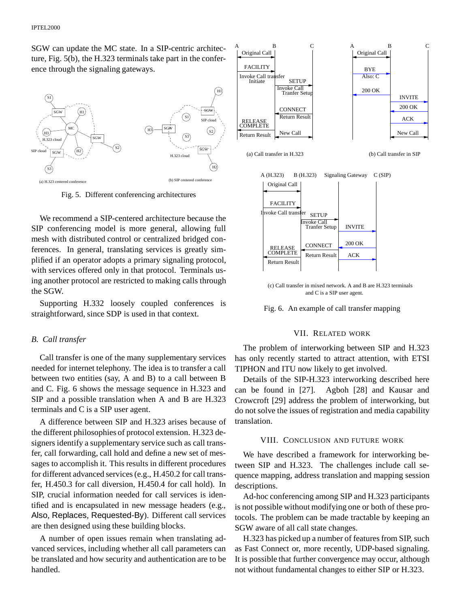SGW can update the MC state. In a SIP-centric architecture, Fig. 5(b), the H.323 terminals take part in the conference through the signaling gateways.



Fig. 5. Different conferencing architectures

We recommend a SIP-centered architecture because the SIP conferencing model is more general, allowing full mesh with distributed control or centralized bridged conferences. In general, translating services is greatly simplified if an operator adopts a primary signaling protocol, with services offered only in that protocol. Terminals using another protocol are restricted to making calls through the SGW.

Supporting H.332 loosely coupled conferences is straightforward, since SDP is used in that context.

#### *B. Call transfer*

Call transfer is one of the many supplementary services needed for internet telephony. The idea is to transfer a call between two entities (say, A and B) to a call between B and C. Fig. 6 shows the message sequence in H.323 and SIP and a possible translation when A and B are H.323 terminals and C is a SIP user agent.

A difference between SIP and H.323 arises because of the different philosophies of protocol extension. H.323 designers identify a supplementary service such as call transfer, call forwarding, call hold and define a new set of messages to accomplish it. This results in different procedures for different advanced services (e.g., H.450.2 for call transfer, H.450.3 for call diversion, H.450.4 for call hold). In SIP, crucial information needed for call services is identified and is encapsulated in new message headers (e.g., Also, Replaces, Requested-By). Different call services are then designed using these building blocks.

A number of open issues remain when translating advanced services, including whether all call parameters can be translated and how security and authentication are to be handled.



(c) Call transfer in mixed network. A and B are H.323 terminals and C is a SIP user agent.



### VII. RELATED WORK

The problem of interworking between SIP and H.323 has only recently started to attract attention, with ETSI TIPHON and ITU now likely to get involved.

Details of the SIP-H.323 interworking described here can be found in [27]. Agboh [28] and Kausar and Crowcroft [29] address the problem of interworking, but do not solve the issues of registration and media capability translation.

# VIII. CONCLUSION AND FUTURE WORK

We have described a framework for interworking between SIP and H.323. The challenges include call sequence mapping, address translation and mapping session descriptions.

Ad-hoc conferencing among SIP and H.323 participants is not possible without modifying one or both of these protocols. The problem can be made tractable by keeping an SGW aware of all call state changes.

H.323 has picked up a number of features from SIP, such as Fast Connect or, more recently, UDP-based signaling. It is possible that further convergence may occur, although not without fundamental changes to either SIP or H.323.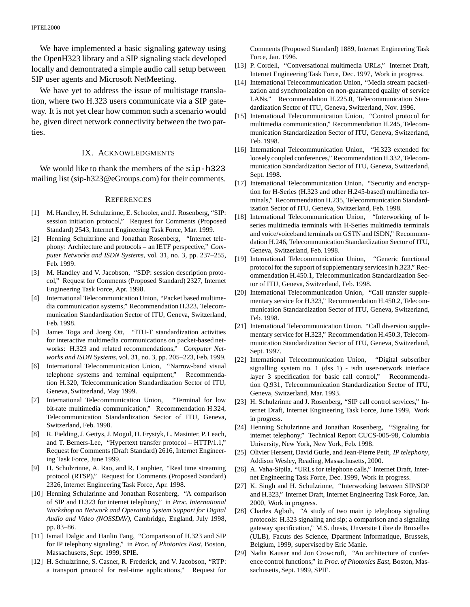We have implemented a basic signaling gateway using the OpenH323 library and a SIP signaling stack developed locally and demontrated a simple audio call setup between SIP user agents and Microsoft NetMeeting.

We have yet to address the issue of multistage translation, where two H.323 users communicate via a SIP gateway. It is not yet clear how common such a scenario would be, given direct network connectivity between the two parties.

## IX. ACKNOWLEDGMENTS

We would like to thank the members of the sip-h323 mailing list (sip-h323@eGroups.com) for their comments.

#### **REFERENCES**

- [1] M. Handley, H. Schulzrinne, E. Schooler, and J. Rosenberg, "SIP: session initiation protocol," Request for Comments (Proposed Standard) 2543, Internet Engineering Task Force, Mar. 1999.
- [2] Henning Schulzrinne and Jonathan Rosenberg, "Internet telephony: Architecture and protocols – an IETF perspective," *Computer Networks and ISDN Systems*, vol. 31, no. 3, pp. 237–255, Feb. 1999.
- [3] M. Handley and V. Jacobson, "SDP: session description protocol," Request for Comments (Proposed Standard) 2327, Internet Engineering Task Force, Apr. 1998.
- [4] International Telecommunication Union, "Packet based multimedia communication systems," Recommendation H.323, Telecommunication Standardization Sector of ITU, Geneva, Switzerland, Feb. 1998.
- [5] James Toga and Joerg Ott, "ITU-T standardization activities for interactive multimedia communications on packet-based networks: H.323 and related recommendations," *Computer Networks and ISDN Systems*, vol. 31, no. 3, pp. 205–223, Feb. 1999.
- [6] International Telecommunication Union, "Narrow-band visual telephone systems and terminal equipment," Recommendation H.320, Telecommunication Standardization Sector of ITU, Geneva, Switzerland, May 1999.
- [7] International Telecommunication Union, "Terminal for low bit-rate multimedia communication," Recommendation H.324, Telecommunication Standardization Sector of ITU, Geneva, Switzerland, Feb. 1998.
- [8] R. Fielding, J. Gettys, J. Mogul, H. Frystyk, L. Masinter, P. Leach, and T. Berners-Lee, "Hypertext transfer protocol – HTTP/1.1," Request for Comments (Draft Standard) 2616, Internet Engineering Task Force, June 1999.
- [9] H. Schulzrinne, A. Rao, and R. Lanphier, "Real time streaming protocol (RTSP)," Request for Comments (Proposed Standard) 2326, Internet Engineering Task Force, Apr. 1998.
- [10] Henning Schulzrinne and Jonathan Rosenberg, "A comparison of SIP and H.323 for internet telephony," in *Proc. International Workshop on Network and Operating System Support for Digital Audio and Video (NOSSDAV)*, Cambridge, England, July 1998, pp. 83–86.
- [11] Ismail Dalgic and Hanlin Fang, "Comparison of H.323 and SIP for IP telephony signaling," in *Proc. of Photonics East*, Boston, Massachusetts, Sept. 1999, SPIE.
- [12] H. Schulzrinne, S. Casner, R. Frederick, and V. Jacobson, "RTP: a transport protocol for real-time applications," Request for

Comments (Proposed Standard) 1889, Internet Engineering Task Force, Jan. 1996.

- [13] P. Cordell, "Conversational multimedia URLs," Internet Draft, Internet Engineering Task Force, Dec. 1997, Work in progress.
- [14] International Telecommunication Union, "Media stream packetization and synchronization on non-guaranteed quality of service LANs," Recommendation H.225.0, Telecommunication Standardization Sector of ITU, Geneva, Switzerland, Nov. 1996.
- [15] International Telecommunication Union, "Control protocol for multimedia communication," Recommendation H.245, Telecommunication Standardization Sector of ITU, Geneva, Switzerland, Feb. 1998.
- [16] International Telecommunication Union, "H.323 extended for loosely coupled conferences," Recommendation H.332, Telecommunication Standardization Sector of ITU, Geneva, Switzerland, Sept. 1998.
- [17] International Telecommunication Union, "Security and encryption for H-Series (H.323 and other H.245-based) multimedia terminals," Recommendation H.235, Telecommunication Standardization Sector of ITU, Geneva, Switzerland, Feb. 1998.
- [18] International Telecommunication Union, "Interworking of hseries multimedia terminals with H-Series multimedia terminals and voice/voicebandterminals on GSTN and ISDN," Recommendation H.246, Telecommunication Standardization Sector of ITU, Geneva, Switzerland, Feb. 1998.
- [19] International Telecommunication Union, "Generic functional protocol for the support of supplementary services in h.323," Recommendation H.450.1, Telecommunication Standardization Sector of ITU, Geneva, Switzerland, Feb. 1998.
- [20] International Telecommunication Union, "Call transfer supplementary service for H.323," Recommendation H.450.2, Telecommunication Standardization Sector of ITU, Geneva, Switzerland, Feb. 1998.
- [21] International Telecommunication Union, "Call diversion supplementary service for H.323," Recommendation H.450.3, Telecommunication Standardization Sector of ITU, Geneva, Switzerland, Sept. 1997.
- [22] International Telecommunication Union, "Digital subscriber signalling system no. 1 (dss 1) - isdn user-network interface layer 3 specification for basic call control," Recommendation Q.931, Telecommunication Standardization Sector of ITU, Geneva, Switzerland, Mar. 1993.
- [23] H. Schulzrinne and J. Rosenberg, "SIP call control services," Internet Draft, Internet Engineering Task Force, June 1999, Work in progress.
- [24] Henning Schulzrinne and Jonathan Rosenberg, "Signaling for internet telephony," Technical Report CUCS-005-98, Columbia University, New York, New York, Feb. 1998.
- [25] Olivier Hersent, David Gurle, and Jean-Pierre Petit, *IP telephony*, Addison Wesley, Reading, Massachusetts, 2000.
- [26] A. Vaha-Sipila, "URLs for telephone calls," Internet Draft, Internet Engineering Task Force, Dec. 1999, Work in progress.
- [27] K. Singh and H. Schulzrinne, "Interworking between SIP/SDP and H.323," Internet Draft, Internet Engineering Task Force, Jan. 2000, Work in progress.
- [28] Charles Agboh, "A study of two main ip telephony signaling protocols: H.323 signaling and sip; a comparison and a signaling gateway specification," M.S. thesis, Unversite Libre de Bruxelles (ULB), Facuts des Science, Dpartment Informatique, Brussels, Belgium, 1999, supervised by Eric Manie.
- [29] Nadia Kausar and Jon Crowcroft, "An architecture of conference control functions," in *Proc. of Photonics East*, Boston, Massachusetts, Sept. 1999, SPIE.